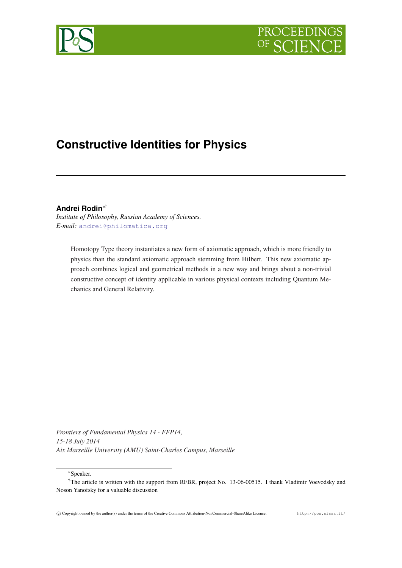

# **Constructive Identities for Physics**

## **Andrei Rodin**∗†

*Institute of Philosophy, Russian Academy of Sciences. E-mail:* [andrei@philomatica.org](mailto:andrei@philomatica.org)

Homotopy Type theory instantiates a new form of axiomatic approach, which is more friendly to physics than the standard axiomatic approach stemming from Hilbert. This new axiomatic approach combines logical and geometrical methods in a new way and brings about a non-trivial constructive concept of identity applicable in various physical contexts including Quantum Mechanics and General Relativity.

*Frontiers of Fundamental Physics 14 - FFP14, 15-18 July 2014 Aix Marseille University (AMU) Saint-Charles Campus, Marseille*

<sup>∗</sup>Speaker.

<sup>†</sup>The article is written with the support from RFBR, project No. 13-06-00515. I thank Vladimir Voevodsky and Noson Yanofsky for a valuable discussion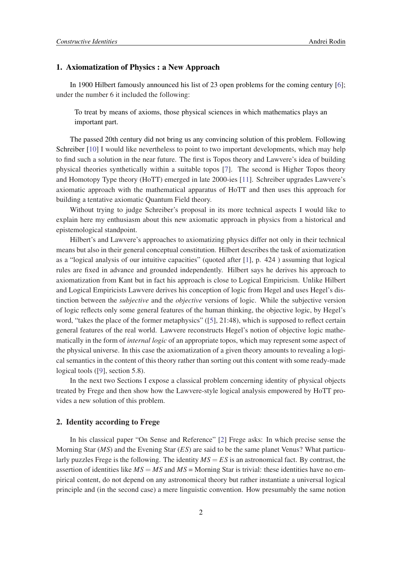## 1. Axiomatization of Physics : a New Approach

In 1900 Hilbert famously announced his list of 23 open problems for the coming century [[6](#page-5-0)]; under the number 6 it included the following:

To treat by means of axioms, those physical sciences in which mathematics plays an important part.

The passed 20th century did not bring us any convincing solution of this problem. Following Schreiber [[10\]](#page-5-0) I would like nevertheless to point to two important developments, which may help to find such a solution in the near future. The first is Topos theory and Lawvere's idea of building physical theories synthetically within a suitable topos [[7](#page-5-0)]. The second is Higher Topos theory and Homotopy Type theory (HoTT) emerged in late 2000-ies [\[11](#page-5-0)]. Schreiber upgrades Lawvere's axiomatic approach with the mathematical apparatus of HoTT and then uses this approach for building a tentative axiomatic Quantum Field theory.

Without trying to judge Schreiber's proposal in its more technical aspects I would like to explain here my enthusiasm about this new axiomatic approach in physics from a historical and epistemological standpoint.

Hilbert's and Lawvere's approaches to axiomatizing physics differ not only in their technical means but also in their general conceptual constitution. Hilbert describes the task of axiomatization as a "logical analysis of our intuitive capacities" (quoted after [[1](#page-5-0)], p. 424 ) assuming that logical rules are fixed in advance and grounded independently. Hilbert says he derives his approach to axiomatization from Kant but in fact his approach is close to Logical Empiricism. Unlike Hilbert and Logical Empiricists Lawvere derives his conception of logic from Hegel and uses Hegel's distinction between the *subjective* and the *objective* versions of logic. While the subjective version of logic reflects only some general features of the human thinking, the objective logic, by Hegel's word, "takes the place of the former metaphysics" ([[5](#page-5-0)], 21:48), which is supposed to reflect certain general features of the real world. Lawvere reconstructs Hegel's notion of objective logic mathematically in the form of *internal logic* of an appropriate topos, which may represent some aspect of the physical universe. In this case the axiomatization of a given theory amounts to revealing a logical semantics in the content of this theory rather than sorting out this content with some ready-made logical tools ([[9](#page-5-0)], section 5.8).

In the next two Sections I expose a classical problem concerning identity of physical objects treated by Frege and then show how the Lawvere-style logical analysis empowered by HoTT provides a new solution of this problem.

### 2. Identity according to Frege

In his classical paper "On Sense and Reference" [[2](#page-5-0)] Frege asks: In which precise sense the Morning Star (*MS*) and the Evening Star (*ES*) are said to be the same planet Venus? What particularly puzzles Frege is the following. The identity  $MS = ES$  is an astronomical fact. By contrast, the assertion of identities like  $MS = MS$  and  $MS =$  Morning Star is trivial: these identities have no empirical content, do not depend on any astronomical theory but rather instantiate a universal logical principle and (in the second case) a mere linguistic convention. How presumably the same notion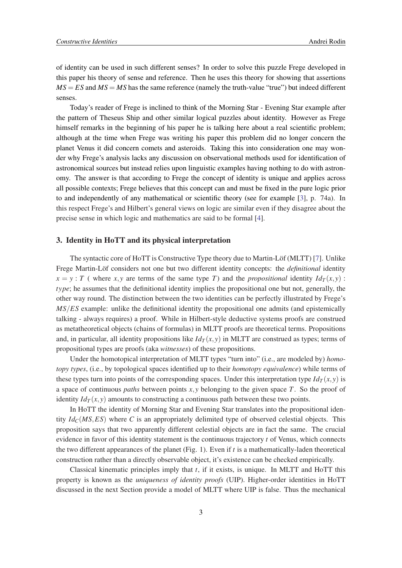of identity can be used in such different senses? In order to solve this puzzle Frege developed in this paper his theory of sense and reference. Then he uses this theory for showing that assertions  $MS = ES$  and  $MS = MS$  has the same reference (namely the truth-value "true") but indeed different senses.

Today's reader of Frege is inclined to think of the Morning Star - Evening Star example after the pattern of Theseus Ship and other similar logical puzzles about identity. However as Frege himself remarks in the beginning of his paper he is talking here about a real scientific problem; although at the time when Frege was writing his paper this problem did no longer concern the planet Venus it did concern comets and asteroids. Taking this into consideration one may wonder why Frege's analysis lacks any discussion on observational methods used for identification of astronomical sources but instead relies upon linguistic examples having nothing to do with astronomy. The answer is that according to Frege the concept of identity is unique and applies across all possible contexts; Frege believes that this concept can and must be fixed in the pure logic prior to and independently of any mathematical or scientific theory (see for example [\[3\]](#page-5-0), p. 74a). In this respect Frege's and Hilbert's general views on logic are similar even if they disagree about the precise sense in which logic and mathematics are said to be formal [[4](#page-5-0)].

## 3. Identity in HoTT and its physical interpretation

The syntactic core of HoTT is Constructive Type theory due to Martin-Löf (MLTT) [\[7\]](#page-5-0). Unlike Frege Martin-Löf considers not one but two different identity concepts: the *definitional* identity  $x = y$ : *T* (where *x*, *y* are terms of the same type *T*) and the *propositional* identity  $Id_T(x, y)$ : *type*; he assumes that the definitional identity implies the propositional one but not, generally, the other way round. The distinction between the two identities can be perfectly illustrated by Frege's *MS*/*ES* example: unlike the definitional identity the propositional one admits (and epistemically talking - always requires) a proof. While in Hilbert-style deductive systems proofs are construed as metatheoretical objects (chains of formulas) in MLTT proofs are theoretical terms. Propositions and, in particular, all identity propositions like  $Id_T(x, y)$  in MLTT are construed as types; terms of propositional types are proofs (aka *witnesses*) of these propositions.

Under the homotopical interpretation of MLTT types "turn into" (i.e., are modeled by) *homotopy types*, (i.e., by topological spaces identified up to their *homotopy equivalence*) while terms of these types turn into points of the corresponding spaces. Under this interpretation type  $Id_T(x, y)$  is a space of continuous *paths* between points *x*, *y* belonging to the given space *T*. So the proof of identity  $Id_T(x, y)$  amounts to constructing a continuous path between these two points.

In HoTT the identity of Morning Star and Evening Star translates into the propositional identity  $Id_C(MS, ES)$  where C is an appropriately delimited type of observed celestial objects. This proposition says that two apparently different celestial objects are in fact the same. The crucial evidence in favor of this identity statement is the continuous trajectory *t* of Venus, which connects the two different appearances of the planet (Fig. 1). Even if  $t$  is a mathematically-laden theoretical construction rather than a directly observable object, it's existence can be checked empirically.

Classical kinematic principles imply that *t*, if it exists, is unique. In MLTT and HoTT this property is known as the *uniqueness of identity proofs* (UIP). Higher-order identities in HoTT discussed in the next Section provide a model of MLTT where UIP is false. Thus the mechanical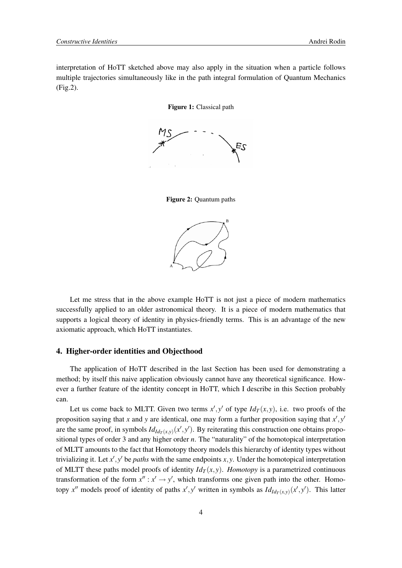interpretation of HoTT sketched above may also apply in the situation when a particle follows multiple trajectories simultaneously like in the path integral formulation of Quantum Mechanics (Fig.2).

Figure 1: Classical path







Let me stress that in the above example HoTT is not just a piece of modern mathematics successfully applied to an older astronomical theory. It is a piece of modern mathematics that supports a logical theory of identity in physics-friendly terms. This is an advantage of the new axiomatic approach, which HoTT instantiates.

## 4. Higher-order identities and Objecthood

The application of HoTT described in the last Section has been used for demonstrating a method; by itself this naive application obviously cannot have any theoretical significance. However a further feature of the identity concept in HoTT, which I describe in this Section probably can.

Let us come back to MLTT. Given two terms  $x'$ ,  $y'$  of type  $Id_T(x, y)$ , i.e. two proofs of the proposition saying that *x* and *y* are identical, one may form a further proposition saying that  $x^i$ ,  $y^i$ are the same proof, in symbols  $Id_{Id_T(x,y)}(x',y')$ . By reiterating this construction one obtains propositional types of order 3 and any higher order *n*. The "naturality" of the homotopical interpretation of MLTT amounts to the fact that Homotopy theory models this hierarchy of identity types without trivializing it. Let  $x'$ ,  $y'$  be *paths* with the same endpoints  $x$ ,  $y$ . Under the homotopical interpretation of MLTT these paths model proofs of identity  $Id_T(x, y)$ . *Homotopy* is a parametrized continuous transformation of the form  $x''$  :  $x' \rightarrow y'$ , which transforms one given path into the other. Homotopy  $x''$  models proof of identity of paths  $x', y'$  written in symbols as  $Id_{Id_T(x,y)}(x', y')$ . This latter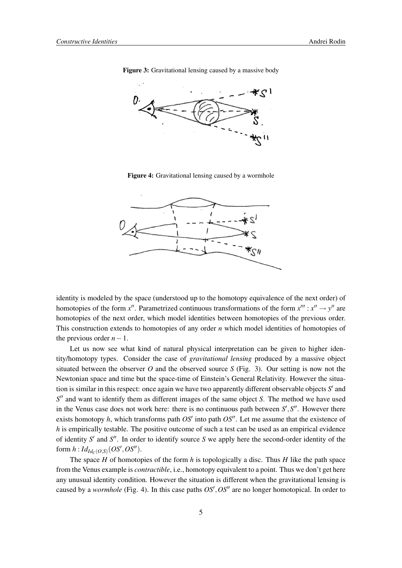

Figure 3: Gravitational lensing caused by a massive body

Figure 4: Gravitational lensing caused by a wormhole



identity is modeled by the space (understood up to the homotopy equivalence of the next order) of homotopies of the form  $x''$ . Parametrized continuous transformations of the form  $x'''$  :  $x'' \rightarrow y''$  are homotopies of the next order, which model identities between homotopies of the previous order. This construction extends to homotopies of any order *n* which model identities of homotopies of the previous order  $n-1$ .

Let us now see what kind of natural physical interpretation can be given to higher identity/homotopy types. Consider the case of *gravitational lensing* produced by a massive object situated between the observer  $O$  and the observed source  $S$  (Fig. 3). Our setting is now not the Newtonian space and time but the space-time of Einstein's General Relativity. However the situation is similar in this respect: once again we have two apparently different observable objects S' and S<sup>"</sup> and want to identify them as different images of the same object *S*. The method we have used in the Venus case does not work here: there is no continuous path between  $S', S''$ . However there exists homotopy  $h$ , which transforms path  $OS'$  into path  $OS''$ . Let me assume that the existence of *h* is empirically testable. The positive outcome of such a test can be used as an empirical evidence of identity S' and S''. In order to identify source S we apply here the second-order identity of the form  $h: Id_{Id_C(O,S)}(OS',OS'').$ 

The space *H* of homotopies of the form *h* is topologically a disc. Thus *H* like the path space from the Venus example is *contractible*, i.e., homotopy equivalent to a point. Thus we don't get here any unusual identity condition. However the situation is different when the gravitational lensing is caused by a *wormhole* (Fig. 4). In this case paths  $OS',OS''$  are no longer homotopical. In order to